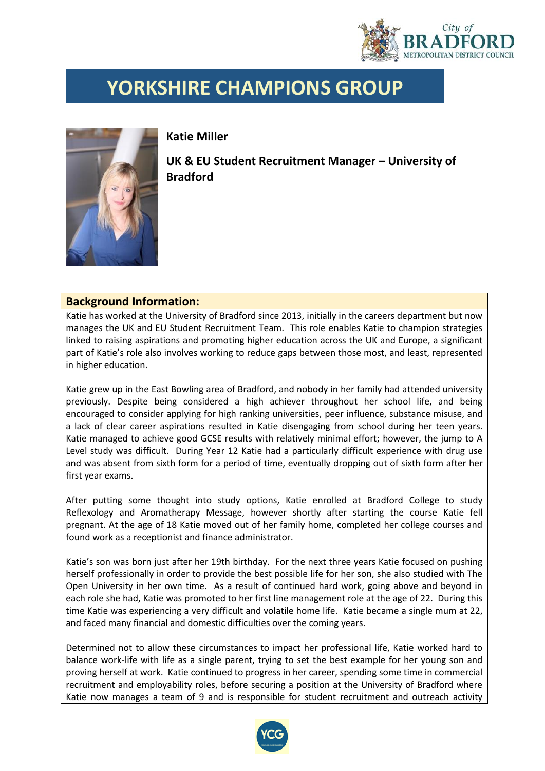

## **YORKSHIRE CHAMPIONS GROUP**



**Katie Miller**

**UK & EU Student Recruitment Manager – University of Bradford**

## **Background Information:**

Katie has worked at the University of Bradford since 2013, initially in the careers department but now manages the UK and EU Student Recruitment Team. This role enables Katie to champion strategies linked to raising aspirations and promoting higher education across the UK and Europe, a significant part of Katie's role also involves working to reduce gaps between those most, and least, represented in higher education.

Katie grew up in the East Bowling area of Bradford, and nobody in her family had attended university previously. Despite being considered a high achiever throughout her school life, and being encouraged to consider applying for high ranking universities, peer influence, substance misuse, and a lack of clear career aspirations resulted in Katie disengaging from school during her teen years. Katie managed to achieve good GCSE results with relatively minimal effort; however, the jump to A Level study was difficult. During Year 12 Katie had a particularly difficult experience with drug use and was absent from sixth form for a period of time, eventually dropping out of sixth form after her first year exams.

After putting some thought into study options, Katie enrolled at Bradford College to study Reflexology and Aromatherapy Message, however shortly after starting the course Katie fell pregnant. At the age of 18 Katie moved out of her family home, completed her college courses and found work as a receptionist and finance administrator.

Katie's son was born just after her 19th birthday. For the next three years Katie focused on pushing herself professionally in order to provide the best possible life for her son, she also studied with The Open University in her own time. As a result of continued hard work, going above and beyond in each role she had, Katie was promoted to her first line management role at the age of 22. During this time Katie was experiencing a very difficult and volatile home life. Katie became a single mum at 22, and faced many financial and domestic difficulties over the coming years.

Determined not to allow these circumstances to impact her professional life, Katie worked hard to balance work-life with life as a single parent, trying to set the best example for her young son and proving herself at work. Katie continued to progress in her career, spending some time in commercial recruitment and employability roles, before securing a position at the University of Bradford where Katie now manages a team of 9 and is responsible for student recruitment and outreach activity